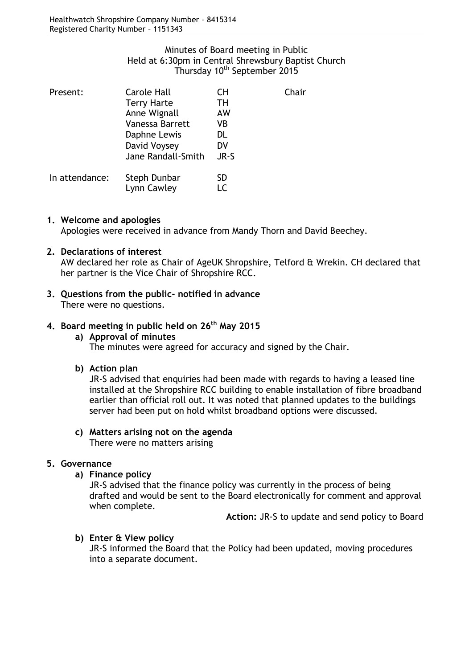# Minutes of Board meeting in Public Held at 6:30pm in Central Shrewsbury Baptist Church Thursday 10<sup>th</sup> September 2015

| Present:       | <b>Carole Hall</b> | CH   | Chair |
|----------------|--------------------|------|-------|
|                | <b>Terry Harte</b> | TН   |       |
|                | Anne Wignall       | AW   |       |
|                | Vanessa Barrett    | VB   |       |
|                | Daphne Lewis       | DL   |       |
|                | David Voysey       | DV   |       |
|                | Jane Randall-Smith | JR-S |       |
| In attendance: | Steph Dunbar       | SD   |       |
|                | Lynn Cawley        | ΙC   |       |

#### **1. Welcome and apologies**

Apologies were received in advance from Mandy Thorn and David Beechey.

## **2. Declarations of interest**

AW declared her role as Chair of AgeUK Shropshire, Telford & Wrekin. CH declared that her partner is the Vice Chair of Shropshire RCC.

# **3. Questions from the public- notified in advance**

There were no questions.

# **4. Board meeting in public held on 26th May 2015**

## **a) Approval of minutes** The minutes were agreed for accuracy and signed by the Chair.

#### **b) Action plan**

JR-S advised that enquiries had been made with regards to having a leased line installed at the Shropshire RCC building to enable installation of fibre broadband earlier than official roll out. It was noted that planned updates to the buildings server had been put on hold whilst broadband options were discussed.

# **c) Matters arising not on the agenda**

There were no matters arising

# **5. Governance**

**a) Finance policy**

JR-S advised that the finance policy was currently in the process of being drafted and would be sent to the Board electronically for comment and approval when complete.

**Action:** JR-S to update and send policy to Board

# **b) Enter & View policy**

JR-S informed the Board that the Policy had been updated, moving procedures into a separate document.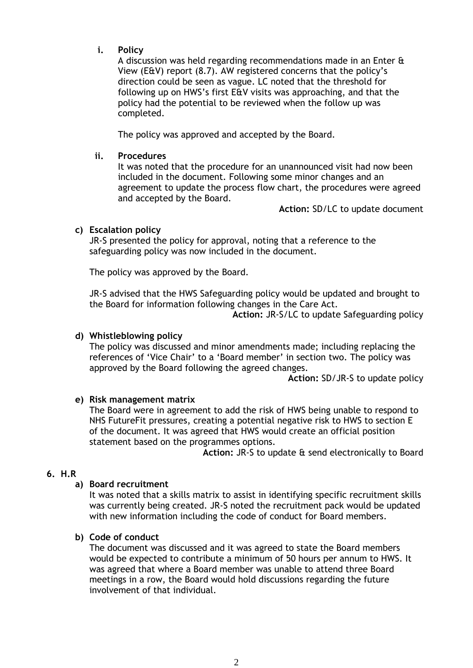# **i. Policy**

A discussion was held regarding recommendations made in an Enter & View (E&V) report (8.7). AW registered concerns that the policy's direction could be seen as vague. LC noted that the threshold for following up on HWS's first E&V visits was approaching, and that the policy had the potential to be reviewed when the follow up was completed.

The policy was approved and accepted by the Board.

#### **ii. Procedures**

It was noted that the procedure for an unannounced visit had now been included in the document. Following some minor changes and an agreement to update the process flow chart, the procedures were agreed and accepted by the Board.

**Action:** SD/LC to update document

## **c) Escalation policy**

JR-S presented the policy for approval, noting that a reference to the safeguarding policy was now included in the document.

The policy was approved by the Board.

JR-S advised that the HWS Safeguarding policy would be updated and brought to the Board for information following changes in the Care Act.

**Action:** JR-S/LC to update Safeguarding policy

#### **d) Whistleblowing policy**

The policy was discussed and minor amendments made; including replacing the references of 'Vice Chair' to a 'Board member' in section two. The policy was approved by the Board following the agreed changes.

**Action:** SD/JR-S to update policy

# **e) Risk management matrix**

The Board were in agreement to add the risk of HWS being unable to respond to NHS FutureFit pressures, creating a potential negative risk to HWS to section E of the document. It was agreed that HWS would create an official position statement based on the programmes options.

**Action:** JR-S to update & send electronically to Board

#### **6. H.R**

#### **a) Board recruitment**

It was noted that a skills matrix to assist in identifying specific recruitment skills was currently being created. JR-S noted the recruitment pack would be updated with new information including the code of conduct for Board members.

#### **b) Code of conduct**

The document was discussed and it was agreed to state the Board members would be expected to contribute a minimum of 50 hours per annum to HWS. It was agreed that where a Board member was unable to attend three Board meetings in a row, the Board would hold discussions regarding the future involvement of that individual.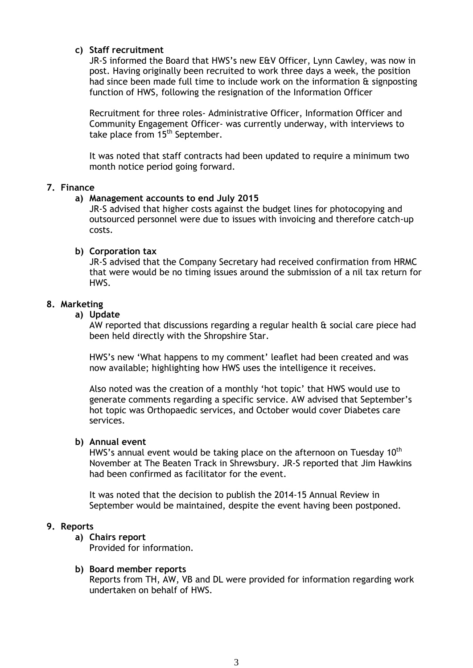## **c) Staff recruitment**

JR-S informed the Board that HWS's new E&V Officer, Lynn Cawley, was now in post. Having originally been recruited to work three days a week, the position had since been made full time to include work on the information & signposting function of HWS, following the resignation of the Information Officer

Recruitment for three roles- Administrative Officer, Information Officer and Community Engagement Officer- was currently underway, with interviews to take place from 15<sup>th</sup> September.

It was noted that staff contracts had been updated to require a minimum two month notice period going forward.

#### **7. Finance**

## **a) Management accounts to end July 2015**

JR-S advised that higher costs against the budget lines for photocopying and outsourced personnel were due to issues with invoicing and therefore catch-up costs.

#### **b) Corporation tax**

JR-S advised that the Company Secretary had received confirmation from HRMC that were would be no timing issues around the submission of a nil tax return for HWS.

## **8. Marketing**

**a) Update** 

AW reported that discussions regarding a regular health & social care piece had been held directly with the Shropshire Star.

HWS's new 'What happens to my comment' leaflet had been created and was now available; highlighting how HWS uses the intelligence it receives.

Also noted was the creation of a monthly 'hot topic' that HWS would use to generate comments regarding a specific service. AW advised that September's hot topic was Orthopaedic services, and October would cover Diabetes care services.

#### **b) Annual event**

HWS's annual event would be taking place on the afternoon on Tuesday 10<sup>th</sup> November at The Beaten Track in Shrewsbury. JR-S reported that Jim Hawkins had been confirmed as facilitator for the event.

It was noted that the decision to publish the 2014-15 Annual Review in September would be maintained, despite the event having been postponed.

#### **9. Reports**

**a) Chairs report** 

Provided for information.

#### **b) Board member reports**

Reports from TH, AW, VB and DL were provided for information regarding work undertaken on behalf of HWS.